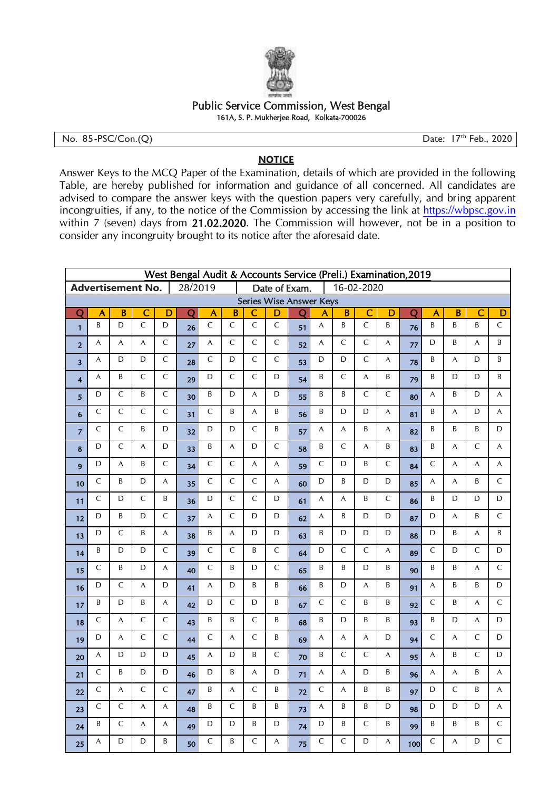

## Public Service Commission, West Bengal 161A, S. P. Mukherjee Road, Kolkata-700026

No. 85-PSC/Con.(Q) Date: 17<sup>th</sup> Feb., 2020

## **NOTICE**

Answer Keys to the MCQ Paper of the Examination, details of which are provided in the following Table, are hereby published for information and guidance of all concerned. All candidates are advised to compare the answer keys with the question papers very carefully, and bring apparent incongruities, if any, to the notice of the Commission by accessing the link at https://wbpsc.gov.in within 7 (seven) days from 21.02.2020. The Commission will however, not be in a position to consider any incongruity brought to its notice after the aforesaid date.

| West Bengal Audit & Accounts Service (Preli.) Examination, 2019<br><b>Advertisement No.</b> |                         |                         |                         |                         |                       |                           |                             |                           |                           |                |              |                |                         |                           |                         |                         |                |                |                |
|---------------------------------------------------------------------------------------------|-------------------------|-------------------------|-------------------------|-------------------------|-----------------------|---------------------------|-----------------------------|---------------------------|---------------------------|----------------|--------------|----------------|-------------------------|---------------------------|-------------------------|-------------------------|----------------|----------------|----------------|
|                                                                                             |                         |                         |                         |                         | 28/2019               |                           | Date of Exam.<br>16-02-2020 |                           |                           |                |              |                |                         |                           |                         |                         |                |                |                |
| <b>Series Wise Answer Keys</b>                                                              |                         |                         |                         |                         |                       |                           |                             |                           |                           |                |              |                |                         |                           |                         |                         |                |                |                |
| $\overline{\text{Q}}$                                                                       | $\overline{\mathsf{A}}$ | $\overline{\mathsf{B}}$ | $\overline{\mathsf{C}}$ | $\overline{\mathsf{D}}$ | $\overline{\text{Q}}$ | A                         | $\overline{B}$              | $\overline{\mathsf{C}}$   | $\overline{\mathsf{D}}$   | $\overline{O}$ | A            | $\overline{B}$ | $\overline{\mathsf{C}}$ | D                         | $\overline{\mathsf{Q}}$ | $\overline{\mathsf{A}}$ | $\overline{B}$ | C              | $\overline{D}$ |
| $\mathbf{1}$                                                                                | B                       | D                       | $\overline{C}$          | D                       | 26                    | $\mathsf{C}$              | $\overline{C}$              | $\overline{C}$            | $\overline{C}$            | 51             | A            | B              | $\mathsf C$             | B                         | 76                      | B                       | B              | B              | $\mathsf C$    |
| $\mathbf{2}$                                                                                | A                       | A                       | A                       | $\mathsf{C}$            | 27                    | $\overline{\mathsf{A}}$   | $\mathsf C$                 | $\mathsf C$               | $\mathsf{C}$              | 52             | A            | $\mathsf C$    | $\mathsf{C}$            | A                         | 77                      | D                       | B              | A              | B              |
| 3                                                                                           | A                       | D                       | D                       | $\mathsf C$             | 28                    | $\mathsf C$               | D                           | $\mathsf{C}$              | $\mathsf C$               | 53             | D            | D              | $\mathsf C$             | A                         | 78                      | B                       | $\overline{A}$ | D              | B              |
| 4                                                                                           | A                       | B                       | $\mathsf{C}$            | $\mathsf C$             | 29                    | D                         | $\mathsf{C}$                | $\overline{C}$            | D                         | 54             | B            | $\mathsf{C}$   | A                       | B                         | 79                      | B                       | D              | D              | B              |
| 5                                                                                           | D                       | $\mathsf C$             | B                       | $\mathsf C$             | 30                    | B                         | D                           | $\boldsymbol{\mathsf{A}}$ | D                         | 55             | B            | B              | $\mathsf C$             | $\mathsf C$               | 80                      | A                       | B              | D              | A              |
| 6                                                                                           | $\mathsf{C}$            | $\mathsf{C}$            | $\mathsf{C}$            | $\mathsf{C}$            | 31                    | $\mathsf{C}$              | B                           | A                         | B                         | 56             | B            | D              | D                       | A                         | 81                      | B                       | A              | D              | A              |
| $\overline{z}$                                                                              | $\mathsf C$             | $\mathsf C$             | B                       | D                       | 32                    | D                         | D                           | $\mathsf C$               | B                         | 57             | A            | A              | B                       | A                         | 82                      | B                       | B              | B              | D              |
| 8                                                                                           | D                       | $\mathsf C$             | A                       | D                       | 33                    | B                         | $\boldsymbol{\mathsf{A}}$   | D                         | $\mathsf C$               | 58             | B            | $\mathsf C$    | A                       | B                         | 83                      | Β                       | $\mathsf{A}$   | $\mathsf C$    | A              |
| 9                                                                                           | D                       | A                       | B                       | $\mathsf C$             | 34                    | $\mathsf{C}$              | $\mathsf C$                 | $\boldsymbol{\mathsf{A}}$ | $\boldsymbol{\mathsf{A}}$ | 59             | $\mathsf C$  | $\mathsf D$    | B                       | $\mathsf C$               | 84                      | $\mathsf C$             | $\overline{A}$ | $\overline{A}$ | A              |
| 10                                                                                          | $\mathsf C$             | B                       | D                       | A                       | 35                    | $\mathsf C$               | $\overline{C}$              | $\overline{C}$            | $\mathsf{A}$              | 60             | D            | B              | D                       | D                         | 85                      | A                       | A              | B              | $\mathsf C$    |
| 11                                                                                          | $\mathsf{C}$            | D                       | $\mathsf{C}$            | B                       | 36                    | D                         | $\mathsf{C}$                | $\mathsf{C}$              | D                         | 61             | A            | A              | B                       | $\mathsf C$               | 86                      | B                       | D              | D              | $\mathsf D$    |
| 12                                                                                          | D                       | B                       | D                       | $\mathsf C$             | 37                    | A                         | $\mathsf C$                 | D                         | D                         | 62             | A            | B              | D                       | D                         | 87                      | D                       | A              | B              | $\mathsf C$    |
| 13                                                                                          | D                       | $\mathsf{C}$            | B                       | A                       | 38                    | B                         | $\overline{A}$              | D                         | D                         | 63             | B            | D              | D                       | D                         | 88                      | D                       | B              | A              | B              |
| 14                                                                                          | B                       | D                       | D                       | $\mathsf C$             | 39                    | $\mathsf C$               | $\mathsf C$                 | B                         | $\mathsf C$               | 64             | D            | $\mathsf C$    | $\mathsf C$             | $\boldsymbol{\mathsf{A}}$ | 89                      | $\mathsf C$             | D              | $\mathsf C$    | $\mathsf D$    |
| 15                                                                                          | $\mathsf{C}$            | B                       | D                       | A                       | 40                    | $\mathsf{C}$              | B                           | D                         | $\mathsf{C}$              | 65             | B            | B              | D                       | Β                         | 90                      | B                       | B              | A              | $\mathsf{C}$   |
| 16                                                                                          | D                       | $\mathsf{C}$            | A                       | D                       | 41                    | $\boldsymbol{\mathsf{A}}$ | D                           | B                         | B                         | 66             | B            | D              | A                       | B                         | 91                      | A                       | B              | B              | D              |
| 17                                                                                          | B                       | D                       | B                       | A                       | 42                    | D                         | $\mathsf C$                 | D                         | B                         | 67             | C            | $\mathsf{C}$   | B                       | Β                         | 92                      | $\mathsf C$             | B              | A              | $\mathsf C$    |
| 18                                                                                          | $\mathsf C$             | A                       | $\mathsf C$             | $\mathsf{C}$            | 43                    | B                         | B                           | $\mathsf C$               | B                         | 68             | B            | D              | B                       | B                         | 93                      | B                       | D              | A              | D              |
| 19                                                                                          | D                       | A                       | $\mathsf C$             | C                       | 44                    | C                         | A                           | $\mathsf C$               | B                         | 69             | A            | A              | A                       | D                         | 94                      | $\mathsf C$             | A              | $\mathsf{C}$   | D              |
| 20                                                                                          | A                       | D                       | D                       | D                       | 45                    | A                         | D                           | B                         | $\mathsf{C}$              | 70             | B            | $\mathsf C$    | $\mathsf{C}$            | A                         | 95                      | A                       | B              | $\mathsf{C}$   | $\mathsf D$    |
| 21                                                                                          | $\mathsf C$             | B                       | D                       | D                       | 46                    | D                         | B                           | A                         | D                         | 71             | A            | $\overline{A}$ | D                       | B                         | 96                      | A                       | $\overline{A}$ | B              | $\overline{A}$ |
| 22                                                                                          | $\mathsf{C}$            | A                       | $\mathsf{C}$            | $\mathsf{C}$            | 47                    | B                         | A                           | $\mathsf{C}$              | B                         | 72             | $\mathsf{C}$ | A              | B                       | B                         | 97                      | D                       | $\mathsf{C}$   | B              | A              |
| 23                                                                                          | $\mathsf C$             | $\mathsf C$             | A                       | A                       | 48                    | B                         | $\mathsf C$                 | B                         | B                         | 73             | A            | B              | $\sf B$                 | D                         | 98                      | D                       | D              | D              | A              |
| 24                                                                                          | B                       | $\mathsf{C}$            | A                       | A                       | 49                    | D                         | D                           | B                         | D                         | 74             | D            | B              | $\mathsf{C}$            | B                         | 99                      | B                       | B              | B              | $\mathsf{C}$   |
| 25                                                                                          | A                       | D                       | D                       | B                       | 50                    | $\mathsf{C}$              | B                           | $\mathsf C$               | A                         | 75             | C            | $\mathsf C$    | D                       | A                         | 100                     | $\mathsf C$             | A              | D              | $\mathsf C$    |